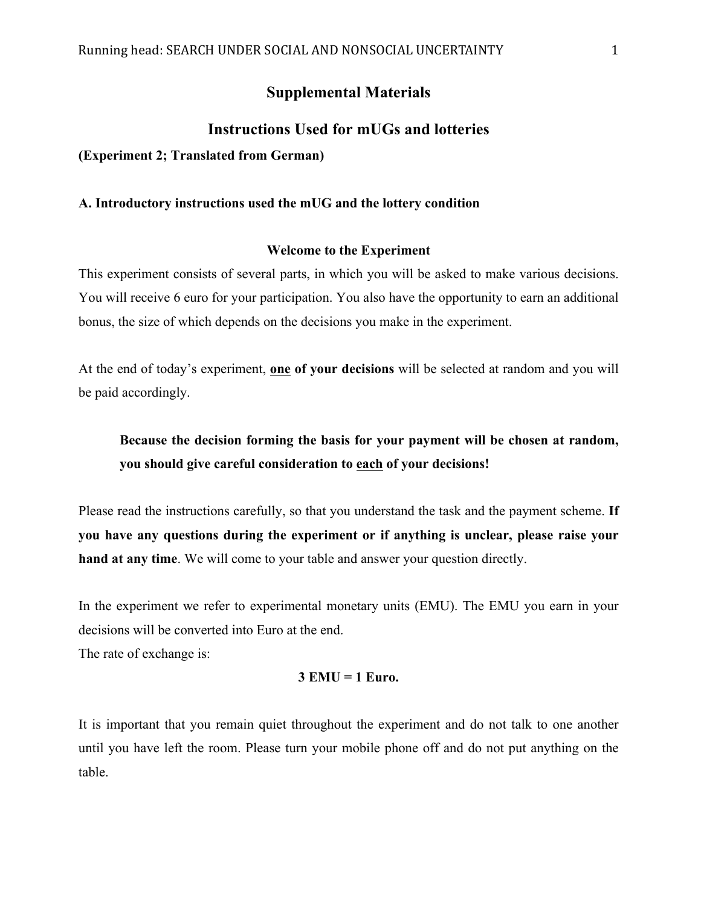# **Supplemental Materials**

# **Instructions Used for mUGs and lotteries**

**(Experiment 2; Translated from German)**

#### **A. Introductory instructions used the mUG and the lottery condition**

#### **Welcome to the Experiment**

This experiment consists of several parts, in which you will be asked to make various decisions. You will receive 6 euro for your participation. You also have the opportunity to earn an additional bonus, the size of which depends on the decisions you make in the experiment.

At the end of today's experiment, **one of your decisions** will be selected at random and you will be paid accordingly.

# **Because the decision forming the basis for your payment will be chosen at random, you should give careful consideration to each of your decisions!**

Please read the instructions carefully, so that you understand the task and the payment scheme. **If you have any questions during the experiment or if anything is unclear, please raise your hand at any time**. We will come to your table and answer your question directly.

In the experiment we refer to experimental monetary units (EMU). The EMU you earn in your decisions will be converted into Euro at the end.

The rate of exchange is:

#### **3 EMU = 1 Euro.**

It is important that you remain quiet throughout the experiment and do not talk to one another until you have left the room. Please turn your mobile phone off and do not put anything on the table.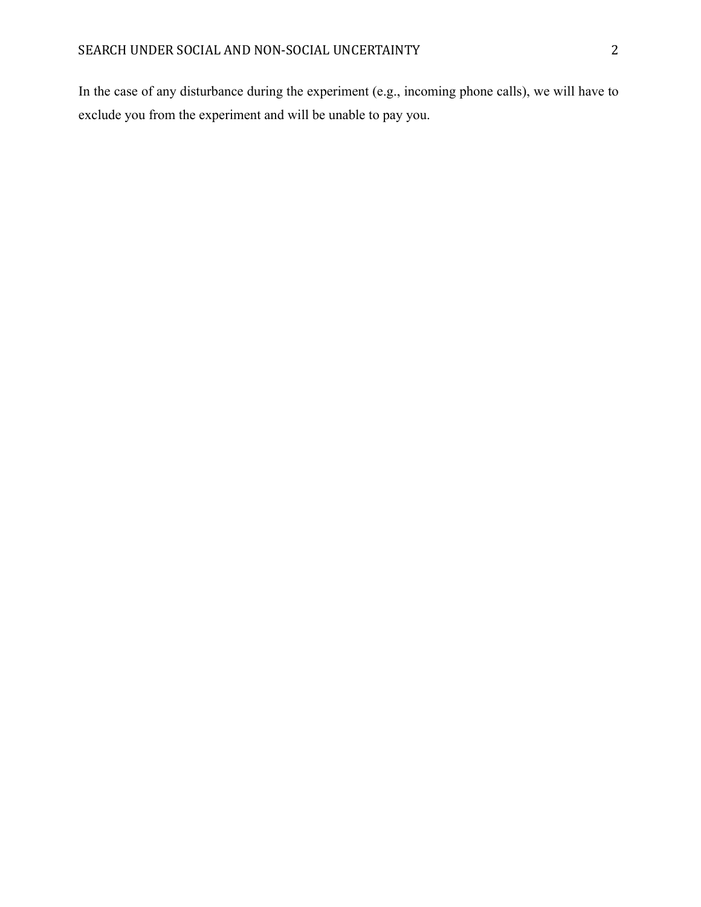In the case of any disturbance during the experiment (e.g., incoming phone calls), we will have to exclude you from the experiment and will be unable to pay you.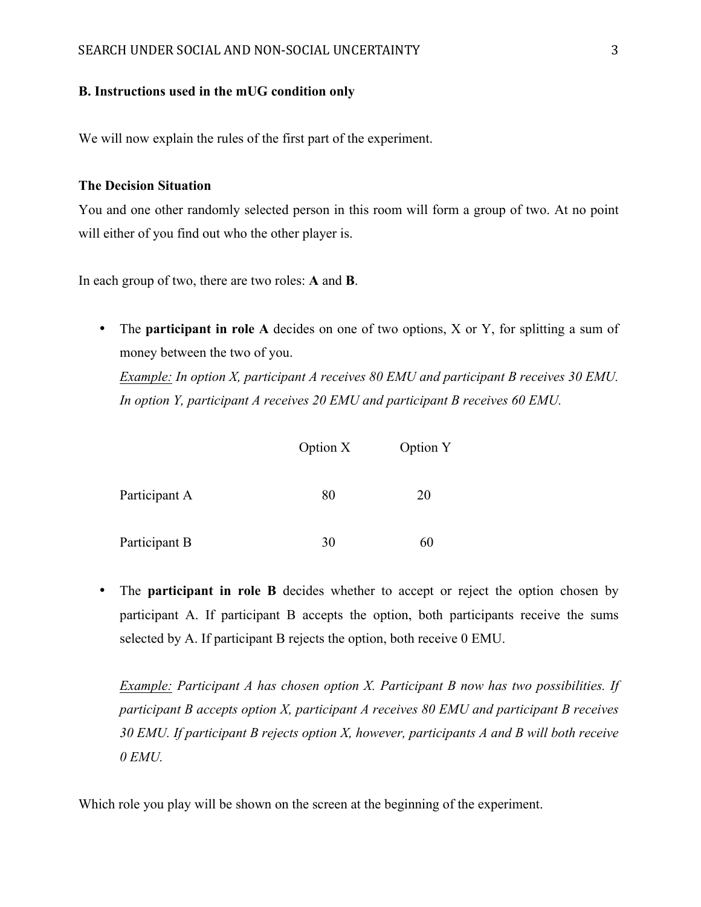#### **B. Instructions used in the mUG condition only**

We will now explain the rules of the first part of the experiment.

### **The Decision Situation**

You and one other randomly selected person in this room will form a group of two. At no point will either of you find out who the other player is.

In each group of two, there are two roles: **A** and **B**.

• The **participant in role A** decides on one of two options, X or Y, for splitting a sum of money between the two of you.

*Example: In option X, participant A receives 80 EMU and participant B receives 30 EMU. In option Y, participant A receives 20 EMU and participant B receives 60 EMU.* 

|               | Option X | Option Y |
|---------------|----------|----------|
| Participant A | 80       | 20       |
| Participant B | 30       | 60       |

• The **participant in role B** decides whether to accept or reject the option chosen by participant A. If participant B accepts the option, both participants receive the sums selected by A. If participant B rejects the option, both receive 0 EMU.

*Example: Participant A has chosen option X. Participant B now has two possibilities. If participant B accepts option X, participant A receives 80 EMU and participant B receives 30 EMU. If participant B rejects option X, however, participants A and B will both receive 0 EMU.*

Which role you play will be shown on the screen at the beginning of the experiment.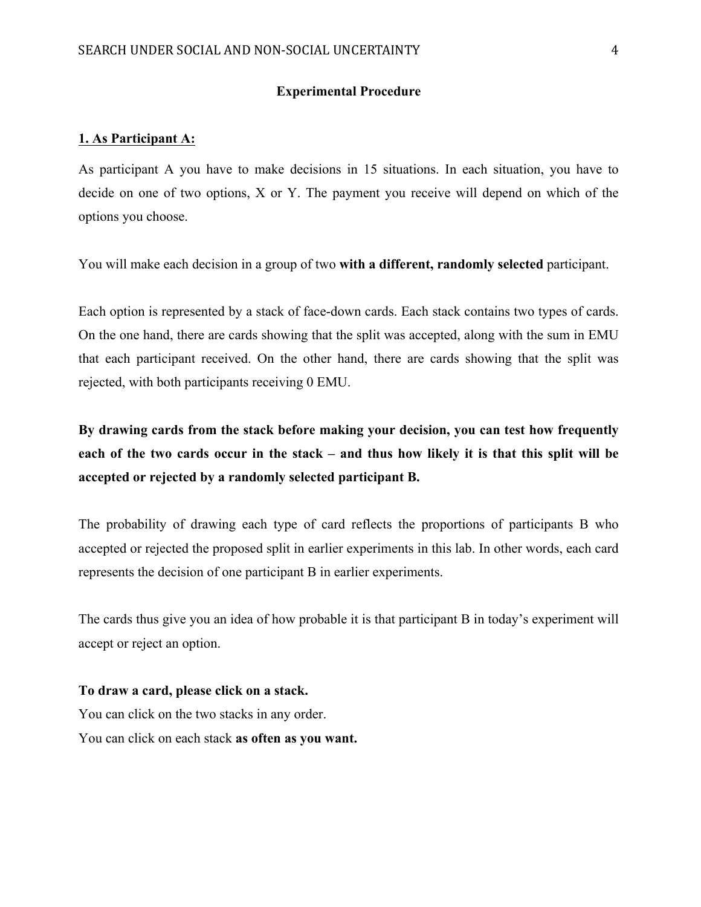#### **Experimental Procedure**

### **1. As Participant A:**

As participant A you have to make decisions in 15 situations. In each situation, you have to decide on one of two options, X or Y. The payment you receive will depend on which of the options you choose.

You will make each decision in a group of two **with a different, randomly selected** participant.

Each option is represented by a stack of face-down cards. Each stack contains two types of cards. On the one hand, there are cards showing that the split was accepted, along with the sum in EMU that each participant received. On the other hand, there are cards showing that the split was rejected, with both participants receiving 0 EMU.

**By drawing cards from the stack before making your decision, you can test how frequently each of the two cards occur in the stack – and thus how likely it is that this split will be accepted or rejected by a randomly selected participant B.** 

The probability of drawing each type of card reflects the proportions of participants B who accepted or rejected the proposed split in earlier experiments in this lab. In other words, each card represents the decision of one participant B in earlier experiments.

The cards thus give you an idea of how probable it is that participant B in today's experiment will accept or reject an option.

# **To draw a card, please click on a stack.**

You can click on the two stacks in any order. You can click on each stack **as often as you want.**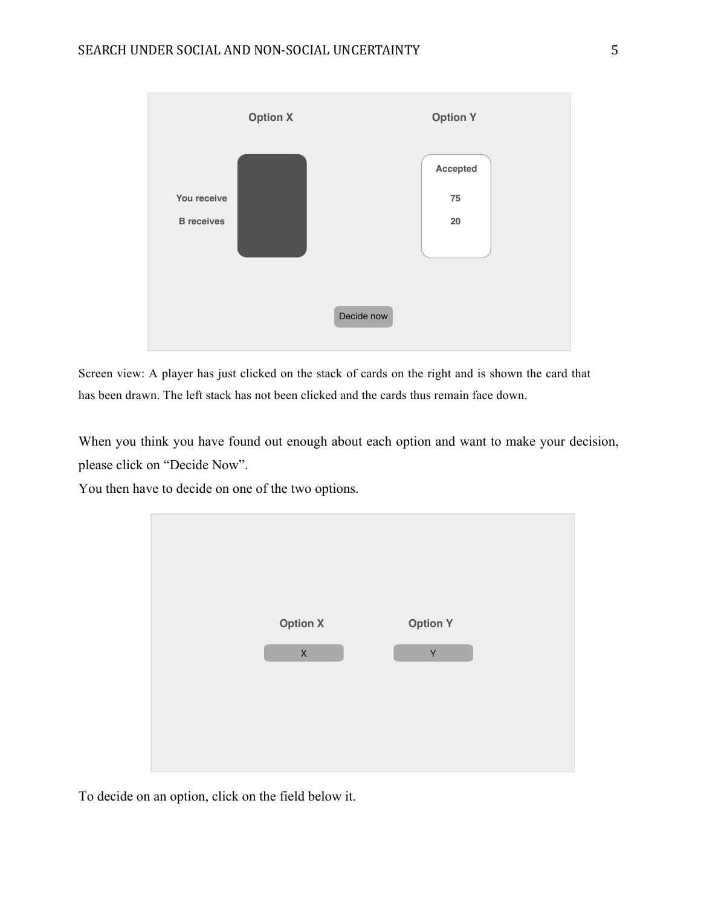

Screen view: A player has just clicked on the stack of cards on the right and is shown the card that has been drawn. The left stack has not been clicked and the cards thus remain face down.

When you think you have found out enough about each option and want to make your decision, please click on "Decide Now".

You then have to decide on one of the two options.



To decide on an option, click on the field below it.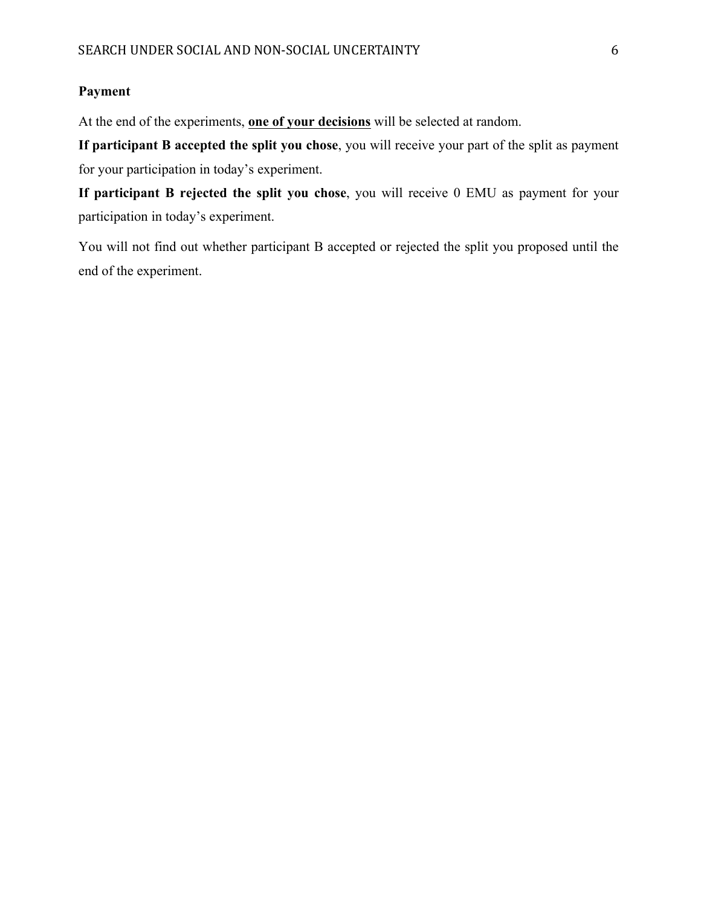# **Payment**

At the end of the experiments, **one of your decisions** will be selected at random.

**If participant B accepted the split you chose**, you will receive your part of the split as payment for your participation in today's experiment.

**If participant B rejected the split you chose**, you will receive 0 EMU as payment for your participation in today's experiment.

You will not find out whether participant B accepted or rejected the split you proposed until the end of the experiment.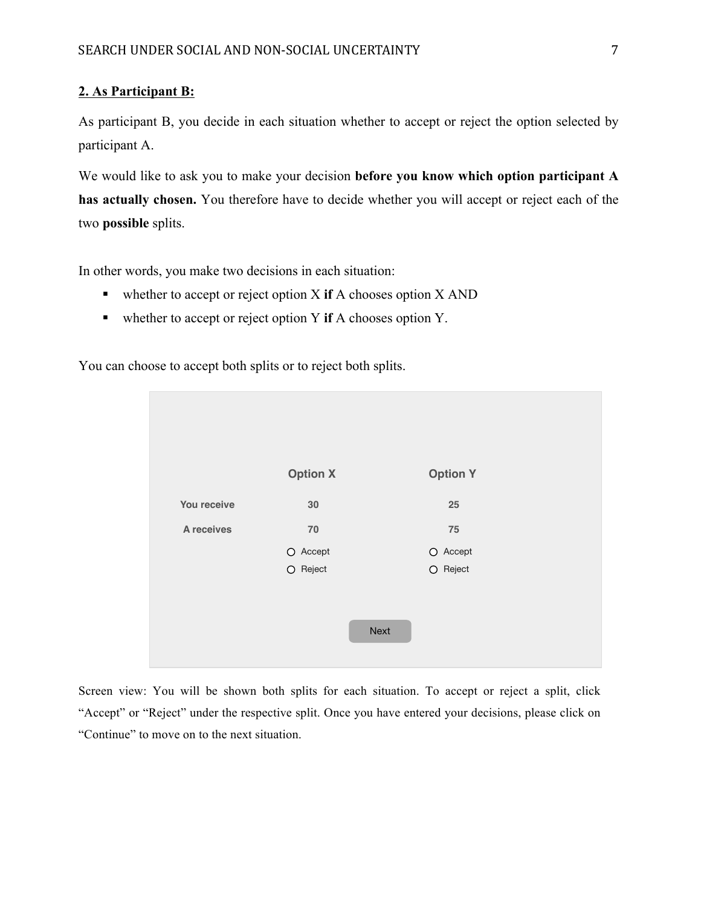### **2. As Participant B:**

As participant B, you decide in each situation whether to accept or reject the option selected by participant A.

We would like to ask you to make your decision **before you know which option participant A has actually chosen.** You therefore have to decide whether you will accept or reject each of the two **possible** splits.

In other words, you make two decisions in each situation:

- ! whether to accept or reject option X **if** A chooses option X AND
- ! whether to accept or reject option Y **if** A chooses option Y.

You can choose to accept both splits or to reject both splits.

|             | <b>Option X</b> | <b>Option Y</b> |
|-------------|-----------------|-----------------|
| You receive | 30              | 25              |
| A receives  | 70              | 75              |
|             | $O$ Accept      | O Accept        |
|             | $O$ Reject      | $O$ Reject      |
|             |                 | Next            |

Screen view: You will be shown both splits for each situation. To accept or reject a split, click "Accept" or "Reject" under the respective split. Once you have entered your decisions, please click on "Continue" to move on to the next situation.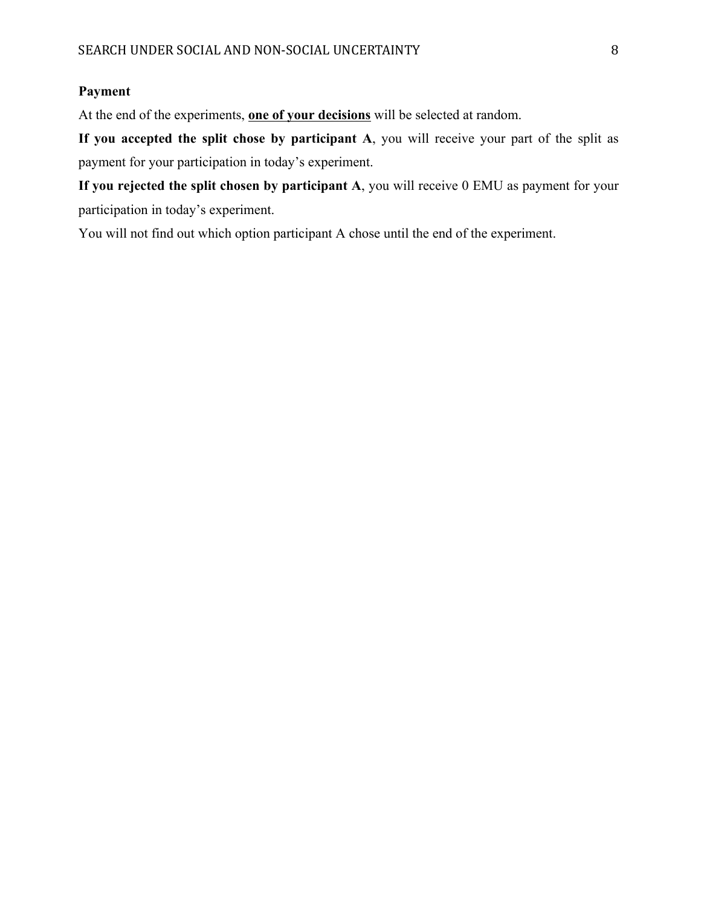## **Payment**

At the end of the experiments, **one of your decisions** will be selected at random.

**If you accepted the split chose by participant A**, you will receive your part of the split as payment for your participation in today's experiment.

**If you rejected the split chosen by participant A**, you will receive 0 EMU as payment for your participation in today's experiment.

You will not find out which option participant A chose until the end of the experiment.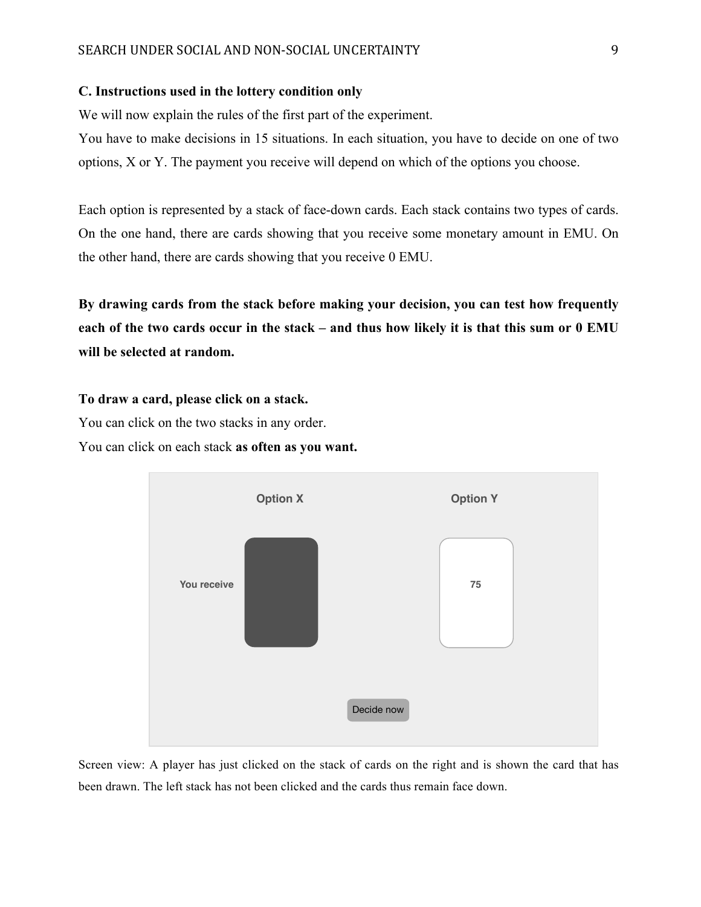#### **C. Instructions used in the lottery condition only**

We will now explain the rules of the first part of the experiment.

You have to make decisions in 15 situations. In each situation, you have to decide on one of two options, X or Y. The payment you receive will depend on which of the options you choose.

Each option is represented by a stack of face-down cards. Each stack contains two types of cards. On the one hand, there are cards showing that you receive some monetary amount in EMU. On the other hand, there are cards showing that you receive 0 EMU.

**By drawing cards from the stack before making your decision, you can test how frequently each of the two cards occur in the stack – and thus how likely it is that this sum or 0 EMU will be selected at random.** 

**To draw a card, please click on a stack.** 

You can click on the two stacks in any order.

You can click on each stack **as often as you want.** 



Screen view: A player has just clicked on the stack of cards on the right and is shown the card that has been drawn. The left stack has not been clicked and the cards thus remain face down.